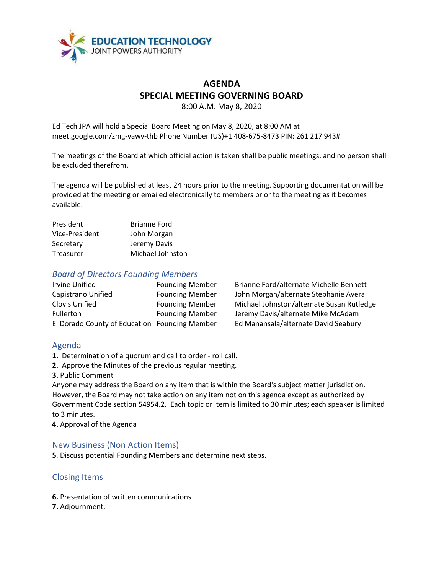

## **AGENDA SPECIAL MEETING GOVERNING BOARD**

8:00 A.M. May 8, 2020

Ed Tech JPA will hold a Special Board Meeting on May 8, 2020, at 8:00 AM at [meet.google.com/zmg-vawv-thb](https://meet.google.com/zmg-vawv-thb?hs=122) Phone Number (US)+1 408-675-8473 PIN: 261 217 943#

The meetings of the Board at which official action is taken shall be public meetings, and no person shall be excluded therefrom.

The agenda will be published at least 24 hours prior to the meeting. Supporting documentation will be provided at the meeting or emailed electronically to members prior to the meeting as it becomes available.

| President      | <b>Brianne Ford</b> |
|----------------|---------------------|
| Vice-President | John Morgan         |
| Secretary      | Jeremy Davis        |
| Treasurer      | Michael Johnston    |

#### *Board of Directors Founding Members*

| Irvine Unified                                | <b>Founding Member</b> |
|-----------------------------------------------|------------------------|
| Capistrano Unified                            | <b>Founding Member</b> |
| Clovis Unified                                | <b>Founding Member</b> |
| Fullerton                                     | <b>Founding Member</b> |
| El Dorado County of Education Founding Member |                        |

Brianne Ford/alternate Michelle Bennett John Morgan/alternate Stephanie Avera Michael Johnston/alternate Susan Rutledge Jeremy Davis/alternate Mike McAdam Ed Manansala/alternate David Seabury

### Agenda

- **1.** Determination of a quorum and call to order roll call.
- **2.** Approve the Minutes of the previous regular meeting.
- **3.** Public Comment

Anyone may address the Board on any item that is within the Board's subject matter jurisdiction. However, the Board may not take action on any item not on this agenda except as authorized by Government Code section 54954.2. Each topic or item is limited to 30 minutes; each speaker is limited to 3 minutes.

**4.** Approval of the Agenda

### New Business (Non Action Items)

**5**. Discuss potential Founding Members and determine next steps.

## Closing Items

- **6.** Presentation of written communications
- **7.** Adjournment.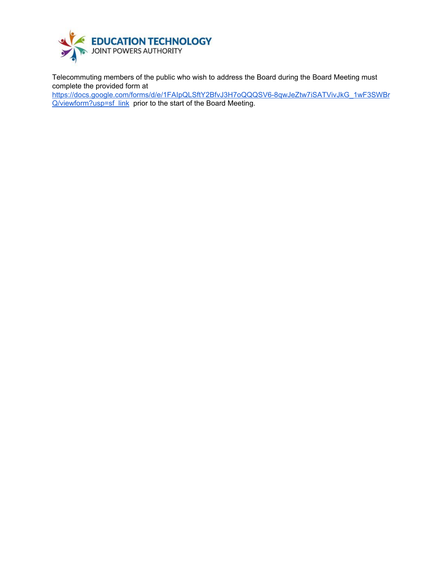

Telecommuting members of the public who wish to address the Board during the Board Meeting must complete the provided form at

[https://docs.google.com/forms/d/e/1FAIpQLSftY2BfvJ3H7oQQQSV6-8qwJeZtw7iSATVivJkG\\_1wF3SWBr](https://docs.google.com/forms/d/e/1FAIpQLSftY2BfvJ3H7oQQQSV6-8qwJeZtw7iSATVivJkG_1wF3SWBrQ/viewform?usp=sf_link) [Q/viewform?usp=sf\\_link](https://docs.google.com/forms/d/e/1FAIpQLSftY2BfvJ3H7oQQQSV6-8qwJeZtw7iSATVivJkG_1wF3SWBrQ/viewform?usp=sf_link) prior to the start of the Board Meeting.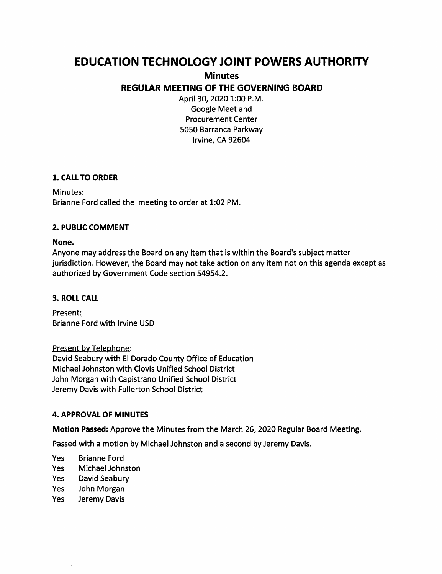# **EDUCATION TECHNOLOGY JOINT POWERS AUTHORITY**

**Minutes** 

**REGULAR MEETING OF THE GOVERNING BOARD** 

April 30, 2020 1:00 P.M. Google Meet and Procurement Center 5050 Barranca Parkway Irvine, CA 92604

## **1. CALL TO ORDER**

Minutes: Brianne Ford called the meeting to order at 1:02 PM.

## **2. PUBLIC COMMENT**

#### **None.**

Anyone may address the Board on any item that is within the Board's subject matter jurisdiction. However, the Board may not take action on any item not on this agenda except as authorized by Government Code section 54954.2.

#### **3. ROLL CALL**

Present: Brianne Ford with Irvine USD

Present by Telephone: David Seabury with El Dorado County Office of Education Michael Johnston with Clovis Unified School District John Morgan with Capistrano Unified School District Jeremy Davis with Fullerton School District

## **4. APPROVAL OF MINUTES**

**Motion Passed:** Approve the Minutes from the March 26, 2020 Regular Board Meeting.

Passed with a motion by Michael Johnston and a second by Jeremy Davis.

- Yes Brianne Ford
- Yes Michael Johnston
- Yes David Seabury
- Yes John Morgan
- Yes Jeremy Davis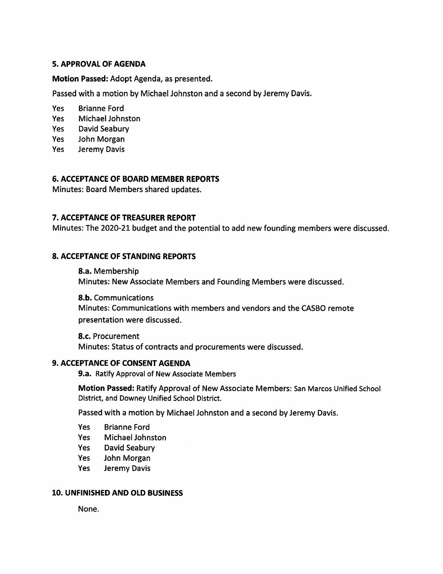#### **5. APPROVAL OF AGENDA**

#### **Motion Passed:** Adopt Agenda, as presented.

Passed with a motion by Michael Johnston and a second by Jeremy Davis.

- Yes Brianne Ford
- Yes Michael Johnston
- Yes David Seabury
- Yes John Morgan
- Yes Jeremy Davis

#### **6. ACCEPTANCE OF BOARD MEMBER REPORTS**

Minutes: Board Members shared updates.

### **7. ACCEPTANCE OF TREASURER REPORT**

Minutes: The 2020-21 budget and the potential to add new founding members were discussed.

#### **8. ACCEPTANCE OF STANDING REPORTS**

**8.a.** Membership Minutes: New Associate Members and Founding Members were discussed.

**8.b.** Communications Minutes: Communications with members and vendors and the CASSO remote presentation were discussed.

**8.c.** Procurement Minutes: Status of contracts and procurements were discussed.

#### **9. ACCEPTANCE OF CONSENT AGENDA**

**9.a.** Ratify Approval of New Associate Members

**Motion Passed:** Ratify Approval of New Associate Members: San Marcos Unified School District, and Downey Unified School District.

Passed with a motion by Michael Johnston and a second by Jeremy Davis.

- Yes Brianne Ford
- Yes Michael Johnston
- Yes David Seabury
- Yes John Morgan
- Yes Jeremy Davis

#### **10. UNFINISHED AND OLD BUSINESS**

None.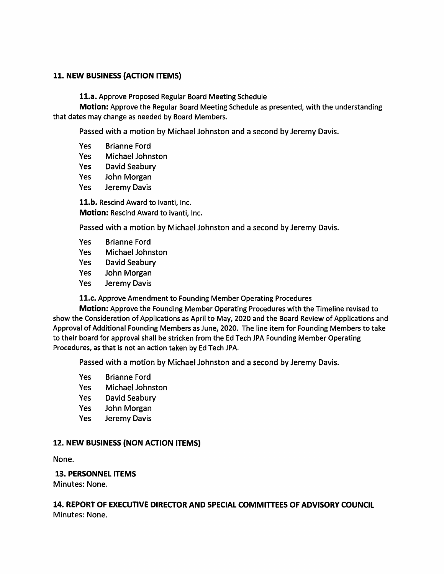#### **11. NEW BUSINESS {ACTION ITEMS)**

**11.a.** Approve Proposed Regular Board Meeting Schedule

**Motion:** Approve the Regular Board Meeting Schedule as presented, with the understanding that dates may change as needed by Board Members.

Passed with a motion by Michael Johnston and a second by Jeremy Davis.

- Yes Brianne Ford Yes Michael Johnston
- Yes David Seabury
- Yes John Morgan
- Yes Jeremy Davis

**11.b.** Rescind Award to lvanti, Inc. **Motion:** Rescind Award to lvanti, Inc.

Passed with a motion by Michael Johnston and a second by Jeremy Davis.

- Yes Brianne Ford
- Yes Michael Johnston
- Yes David Seabury
- Yes John Morgan
- Yes Jeremy Davis

**11.c.** Approve Amendment to Founding Member Operating Procedures

**Motion:** Approve the Founding Member Operating Procedures with the Timeline revised to show the Consideration of Applications as April to May, 2020 and the Board Review of Applications and Approval of Additional Founding Members as June, 2020. The line item for Founding Members to take to their board for approval shall be stricken from the Ed Tech JPA Founding Member Operating Procedures, as that is not an action taken by Ed Tech JPA.

Passed with a motion by Michael Johnston and a second by Jeremy Davis.

- Yes Brianne Ford
- Yes Michael Johnston
- Yes David Seabury
- Yes John Morgan
- Yes Jeremy Davis

#### **12. NEW BUSINESS {NON ACTION ITEMS)**

None.

#### **13. PERSONNEL ITEMS**

Minutes: None.

#### **14. REPORT OF EXECUTIVE DIRECTOR AND SPECIAL COMMITTEES OF ADVISORY COUNCIL**  Minutes: None.